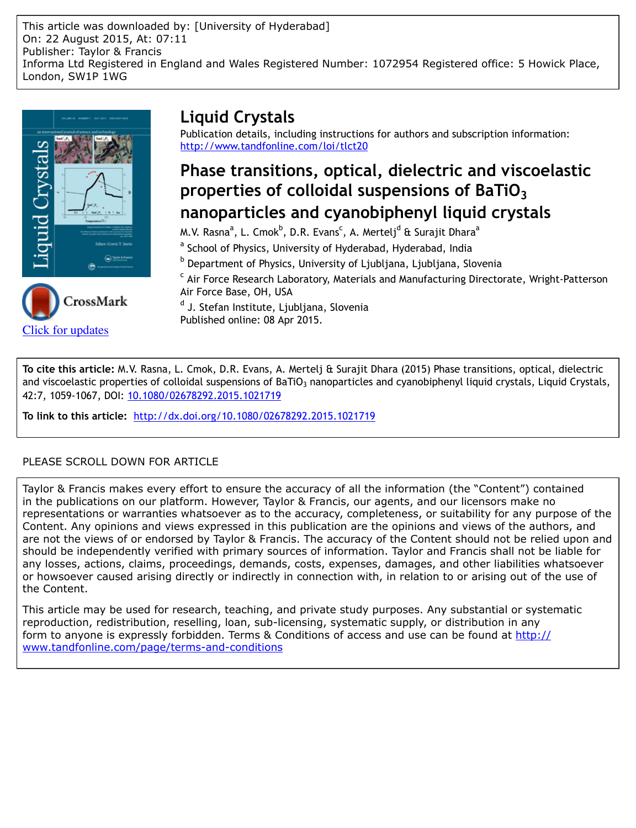This article was downloaded by: [University of Hyderabad] On: 22 August 2015, At: 07:11 Publisher: Taylor & Francis Informa Ltd Registered in England and Wales Registered Number: 1072954 Registered office: 5 Howick Place, London, SW1P 1WG



[Click for updates](http://crossmark.crossref.org/dialog/?doi=10.1080/02678292.2015.1021719&domain=pdf&date_stamp=2015-04-08)

# **Liquid Crystals**

Publication details, including instructions for authors and subscription information: <http://www.tandfonline.com/loi/tlct20>

# **Phase transitions, optical, dielectric and viscoelastic properties of colloidal suspensions of BaTiO3 nanoparticles and cyanobiphenyl liquid crystals**

M.V. Rasna<sup>a</sup>, L. Cmok<sup>b</sup>, D.R. Evans<sup>c</sup>, A. Mertelj<sup>d</sup> & Surajit Dhara<sup>a</sup>

<sup>a</sup> School of Physics, University of Hyderabad, Hyderabad, India

<sup>b</sup> Department of Physics, University of Ljubljana, Ljubljana, Slovenia

<sup>c</sup> Air Force Research Laboratory, Materials and Manufacturing Directorate, Wright-Patterson Air Force Base, OH, USA

<sup>d</sup> J. Stefan Institute, Ljubljana, Slovenia Published online: 08 Apr 2015.

**To cite this article:** M.V. Rasna, L. Cmok, D.R. Evans, A. Mertelj & Surajit Dhara (2015) Phase transitions, optical, dielectric and viscoelastic properties of colloidal suspensions of BaTiO<sub>3</sub> nanoparticles and cyanobiphenyl liquid crystals, Liquid Crystals, 42:7, 1059-1067, DOI: [10.1080/02678292.2015.1021719](http://www.tandfonline.com/action/showCitFormats?doi=10.1080/02678292.2015.1021719)

**To link to this article:** <http://dx.doi.org/10.1080/02678292.2015.1021719>

# PLEASE SCROLL DOWN FOR ARTICLE

Taylor & Francis makes every effort to ensure the accuracy of all the information (the "Content") contained in the publications on our platform. However, Taylor & Francis, our agents, and our licensors make no representations or warranties whatsoever as to the accuracy, completeness, or suitability for any purpose of the Content. Any opinions and views expressed in this publication are the opinions and views of the authors, and are not the views of or endorsed by Taylor & Francis. The accuracy of the Content should not be relied upon and should be independently verified with primary sources of information. Taylor and Francis shall not be liable for any losses, actions, claims, proceedings, demands, costs, expenses, damages, and other liabilities whatsoever or howsoever caused arising directly or indirectly in connection with, in relation to or arising out of the use of the Content.

This article may be used for research, teaching, and private study purposes. Any substantial or systematic reproduction, redistribution, reselling, loan, sub-licensing, systematic supply, or distribution in any form to anyone is expressly forbidden. Terms & Conditions of access and use can be found at [http://](http://www.tandfonline.com/page/terms-and-conditions) [www.tandfonline.com/page/terms-and-conditions](http://www.tandfonline.com/page/terms-and-conditions)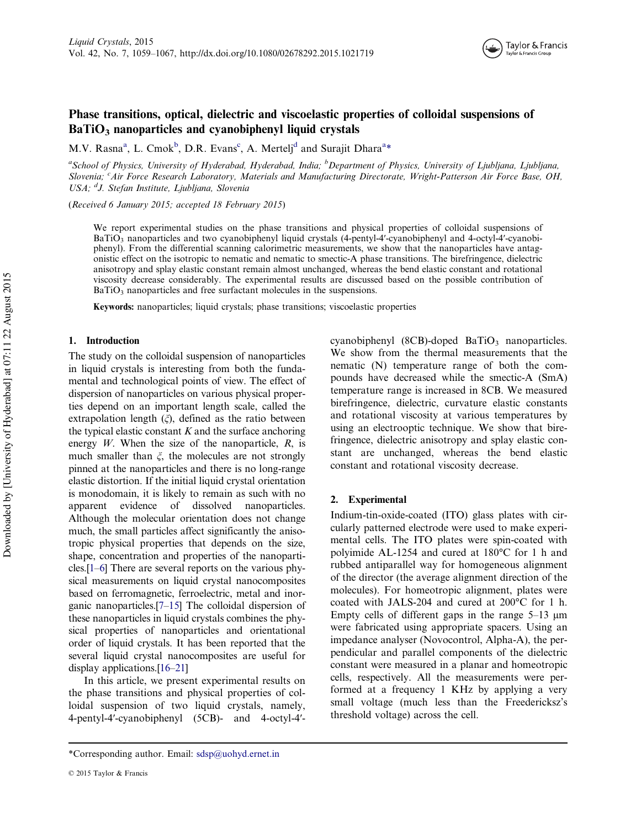# Phase transitions, optical, dielectric and viscoelastic properties of colloidal suspensions of  $BaTiO<sub>3</sub>$  nanoparticles and cyanobiphenyl liquid crystals

M.V. Rasna<sup>a</sup>, L. Cmok<sup>b</sup>, D.R. Evans<sup>c</sup>, A. Mertelj<sup>d</sup> and Surajit Dhara<sup>a\*</sup>

<sup>a</sup>School of Physics, University of Hyderabad, Hyderabad, India; <sup>b</sup>Department of Physics, University of Ljubljana, Ljubljana, Slovenia; <sup>c</sup>Air Force Research Laboratory, Materials and Manufacturing Directorate, Wright-Patterson Air Force Base, OH, USA; <sup>d</sup>J. Stefan Institute, Ljubljana, Slovenia

(Received 6 January 2015; accepted 18 February 2015)

We report experimental studies on the phase transitions and physical properties of colloidal suspensions of BaTiO<sub>3</sub> nanoparticles and two cyanobiphenyl liquid crystals (4-pentyl-4'-cyanobiphenyl and 4-octyl-4'-cyanobiphenyl). From the differential scanning calorimetric measurements, we show that the nanoparticles have antagonistic effect on the isotropic to nematic and nematic to smectic-A phase transitions. The birefringence, dielectric anisotropy and splay elastic constant remain almost unchanged, whereas the bend elastic constant and rotational viscosity decrease considerably. The experimental results are discussed based on the possible contribution of BaTiO<sub>3</sub> nanoparticles and free surfactant molecules in the suspensions.

Keywords: nanoparticles; liquid crystals; phase transitions; viscoelastic properties

### 1. Introduction

The study on the colloidal suspension of nanoparticles in liquid crystals is interesting from both the fundamental and technological points of view. The effect of dispersion of nanoparticles on various physical properties depend on an important length scale, called the extrapolation length  $(\xi)$ , defined as the ratio between the typical elastic constant  $K$  and the surface anchoring energy  $W$ . When the size of the nanoparticle,  $R$ , is much smaller than  $\xi$ , the molecules are not strongly pinned at the nanoparticles and there is no long-range elastic distortion. If the initial liquid crystal orientation is monodomain, it is likely to remain as such with no apparent evidence of dissolved nanoparticles. Although the molecular orientation does not change much, the small particles affect significantly the anisotropic physical properties that depends on the size, shape, concentration and properties of the nanoparticles.[[1](#page-7-0)–[6](#page-7-0)] There are several reports on the various physical measurements on liquid crystal nanocomposites based on ferromagnetic, ferroelectric, metal and inorganic nanoparticles.[\[7](#page-7-0)–[15\]](#page-8-0) The colloidal dispersion of these nanoparticles in liquid crystals combines the physical properties of nanoparticles and orientational order of liquid crystals. It has been reported that the several liquid crystal nanocomposites are useful for display applications.[\[16](#page-8-0)–[21\]](#page-8-0)

In this article, we present experimental results on the phase transitions and physical properties of colloidal suspension of two liquid crystals, namely, 4-pentyl-4ʹ-cyanobiphenyl (5CB)- and 4-octyl-4ʹ-

cyanobiphenyl (8CB)-doped  $BaTiO<sub>3</sub>$  nanoparticles. We show from the thermal measurements that the nematic (N) temperature range of both the compounds have decreased while the smectic-A (SmA) temperature range is increased in 8CB. We measured birefringence, dielectric, curvature elastic constants and rotational viscosity at various temperatures by using an electrooptic technique. We show that birefringence, dielectric anisotropy and splay elastic constant are unchanged, whereas the bend elastic constant and rotational viscosity decrease.

# 2. Experimental

Indium-tin-oxide-coated (ITO) glass plates with circularly patterned electrode were used to make experimental cells. The ITO plates were spin-coated with polyimide AL-1254 and cured at 180°C for 1 h and rubbed antiparallel way for homogeneous alignment of the director (the average alignment direction of the molecules). For homeotropic alignment, plates were coated with JALS-204 and cured at 200°C for 1 h. Empty cells of different gaps in the range  $5-13 \mu m$ were fabricated using appropriate spacers. Using an impedance analyser (Novocontrol, Alpha-A), the perpendicular and parallel components of the dielectric constant were measured in a planar and homeotropic cells, respectively. All the measurements were performed at a frequency 1 KHz by applying a very small voltage (much less than the Freedericksz's threshold voltage) across the cell.

<sup>\*</sup>Corresponding author. Email: sdsp@uohyd.ernet.in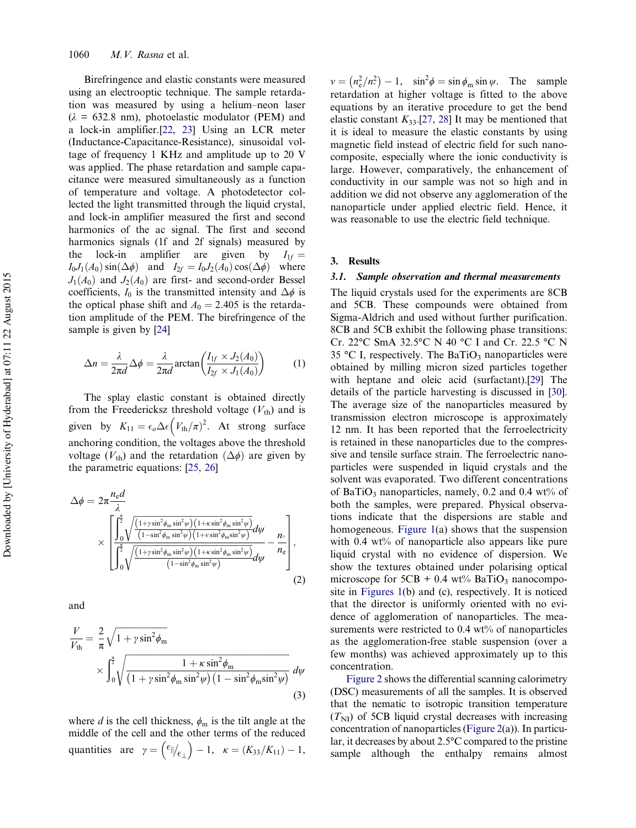Birefringence and elastic constants were measured using an electrooptic technique. The sample retardation was measured by using a helium–neon laser  $(\lambda = 632.8 \text{ nm})$ , photoelastic modulator (PEM) and a lock-in amplifier.[[22,](#page-8-0) [23](#page-8-0)] Using an LCR meter (Inductance-Capacitance-Resistance), sinusoidal voltage of frequency 1 KHz and amplitude up to 20 V was applied. The phase retardation and sample capacitance were measured simultaneously as a function of temperature and voltage. A photodetector collected the light transmitted through the liquid crystal, and lock-in amplifier measured the first and second harmonics of the ac signal. The first and second harmonics signals (1f and 2f signals) measured by the lock-in amplifier are given by  $I_{1f} =$  $I_0J_1(A_0)$  sin $(\Delta \phi)$  and  $I_{2f} = I_0J_2(A_0)$  cos $(\Delta \phi)$  where  $J_1(A_0)$  and  $J_2(A_0)$  are first- and second-order Bessel coefficients,  $I_0$  is the transmitted intensity and  $\Delta \phi$  is the optical phase shift and  $A_0 = 2.405$  is the retardation amplitude of the PEM. The birefringence of the sample is given by [\[24](#page-8-0)]

$$
\Delta n = \frac{\lambda}{2\pi d} \Delta \phi = \frac{\lambda}{2\pi d} \arctan\left(\frac{I_{1f} \times J_2(A_0)}{I_{2f} \times J_1(A_0)}\right) \tag{1}
$$

The splay elastic constant is obtained directly from the Freedericksz threshold voltage  $(V_{th})$  and is given by  $K_{11} = \epsilon_o \Delta \epsilon \left(V_{\text{th}}/\pi)^2$ . At strong surface anchoring condition, the voltages above the threshold voltage ( $V_{\text{th}}$ ) and the retardation ( $\Delta \phi$ ) are given by the parametric equations: [\[25](#page-8-0), [26](#page-8-0)]

$$
\Delta \phi = 2\pi \frac{n_{\rm e}d}{\lambda} \times \left[ \int_0^{\frac{\pi}{2}} \sqrt{\frac{\left(1 + y \sin^2 \phi_{\rm m} \sin^2 \psi\right) \left(1 + \kappa \sin^2 \phi_{\rm m} \sin^2 \psi\right)}{\left(1 - \sin^2 \phi_{\rm m} \sin^2 \psi\right) \left(1 + \kappa \sin^2 \phi_{\rm m} \sin^2 \psi\right)}} d\psi \right]_0^{\frac{\pi}{2}} \times \left[ \int_0^{\frac{\pi}{2}} \sqrt{\frac{\left(1 + y \sin^2 \phi_{\rm m} \sin^2 \psi\right) \left(1 + \kappa \sin^2 \phi_{\rm m} \sin^2 \psi\right)}{\left(1 - \sin^2 \phi_{\rm m} \sin^2 \psi\right)}} d\psi - \frac{n_{\rm e}}{n_{\rm e}} \right], \tag{2}
$$

and

$$
\frac{V}{V_{\text{th}}} = \frac{2}{\pi} \sqrt{1 + \gamma \sin^2 \phi_{\text{m}}}
$$
\n
$$
\times \int_0^{\frac{\pi}{2}} \sqrt{\frac{1 + \kappa \sin^2 \phi_{\text{m}}}{\left(1 + \gamma \sin^2 \phi_{\text{m}} \sin^2 \psi\right) \left(1 - \sin^2 \phi_{\text{m}} \sin^2 \psi\right)}} d\psi
$$
\n(3)

where d is the cell thickness,  $\phi_m$  is the tilt angle at the middle of the cell and the other terms of the reduced quantities are  $\gamma = \left(\frac{\epsilon_{\parallel}}{\epsilon_{\perp}}\right) - 1$ ,  $\kappa = (K_{33}/K_{11}) - 1$ ,

 $v = (n_e^2/n_s^2) - 1$ ,  $\sin^2 \phi = \sin \phi_m \sin \psi$ . The sample retardation at higher voltage is fitted to the above equations by an iterative procedure to get the bend elastic constant  $K_{33}$ .[[27](#page-8-0), [28](#page-8-0)] It may be mentioned that it is ideal to measure the elastic constants by using magnetic field instead of electric field for such nanocomposite, especially where the ionic conductivity is large. However, comparatively, the enhancement of conductivity in our sample was not so high and in addition we did not observe any agglomeration of the nanoparticle under applied electric field. Hence, it was reasonable to use the electric field technique.

### 3. Results

#### 3.1. Sample observation and thermal measurements

The liquid crystals used for the experiments are 8CB and 5CB. These compounds were obtained from Sigma-Aldrich and used without further purification. 8CB and 5CB exhibit the following phase transitions: Cr. 22°C SmA 32.5°C N 40 °C I and Cr. 22.5 °C N 35 °C I, respectively. The BaTiO<sub>3</sub> nanoparticles were obtained by milling micron sized particles together with heptane and oleic acid (surfactant).[\[29](#page-8-0)] The details of the particle harvesting is discussed in [\[30](#page-8-0)]. The average size of the nanoparticles measured by transmission electron microscope is approximately 12 nm. It has been reported that the ferroelectricity is retained in these nanoparticles due to the compressive and tensile surface strain. The ferroelectric nanoparticles were suspended in liquid crystals and the solvent was evaporated. Two different concentrations of BaTiO<sub>3</sub> nanoparticles, namely, 0.2 and 0.4 wt% of both the samples, were prepared. Physical observations indicate that the dispersions are stable and homogeneous. [Figure 1](#page-3-0)(a) shows that the suspension with 0.4 wt% of nanoparticle also appears like pure liquid crystal with no evidence of dispersion. We show the textures obtained under polarising optical microscope for  $5CB + 0.4$  wt% BaTiO<sub>3</sub> nanocomposite in [Figures 1\(](#page-3-0)b) and (c), respectively. It is noticed that the director is uniformly oriented with no evidence of agglomeration of nanoparticles. The measurements were restricted to  $0.4 \text{ wt\%}$  of nanoparticles as the agglomeration-free stable suspension (over a few months) was achieved approximately up to this concentration.

[Figure 2](#page-3-0) shows the differential scanning calorimetry (DSC) measurements of all the samples. It is observed that the nematic to isotropic transition temperature  $(T_{\rm NI})$  of 5CB liquid crystal decreases with increasing concentration of nanoparticles ([Figure 2](#page-3-0)(a)). In particular, it decreases by about 2.5°C compared to the pristine sample although the enthalpy remains almost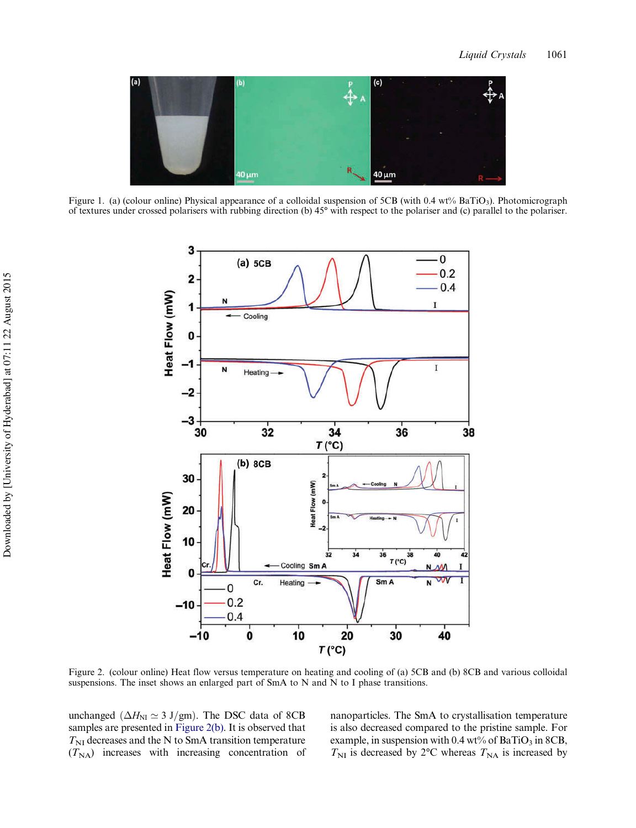<span id="page-3-0"></span>

Figure 1. (a) (colour online) Physical appearance of a colloidal suspension of 5CB (with 0.4 wt% BaTiO<sub>3</sub>). Photomicrograph of textures under crossed polarisers with rubbing direction (b) 45° with respect to the polariser and (c) parallel to the polariser.



Figure 2. (colour online) Heat flow versus temperature on heating and cooling of (a) 5CB and (b) 8CB and various colloidal suspensions. The inset shows an enlarged part of SmA to N and N to I phase transitions.

unchanged ( $\Delta H_{\text{NI}} \simeq 3$  J/gm). The DSC data of 8CB samples are presented in Figure 2(b). It is observed that  $T_{\text{NI}}$  decreases and the N to SmA transition temperature  $(T<sub>NA</sub>)$  increases with increasing concentration of nanoparticles. The SmA to crystallisation temperature is also decreased compared to the pristine sample. For example, in suspension with 0.4 wt% of BaTiO<sub>3</sub> in 8CB,  $T_{\text{NI}}$  is decreased by 2°C whereas  $T_{\text{NA}}$  is increased by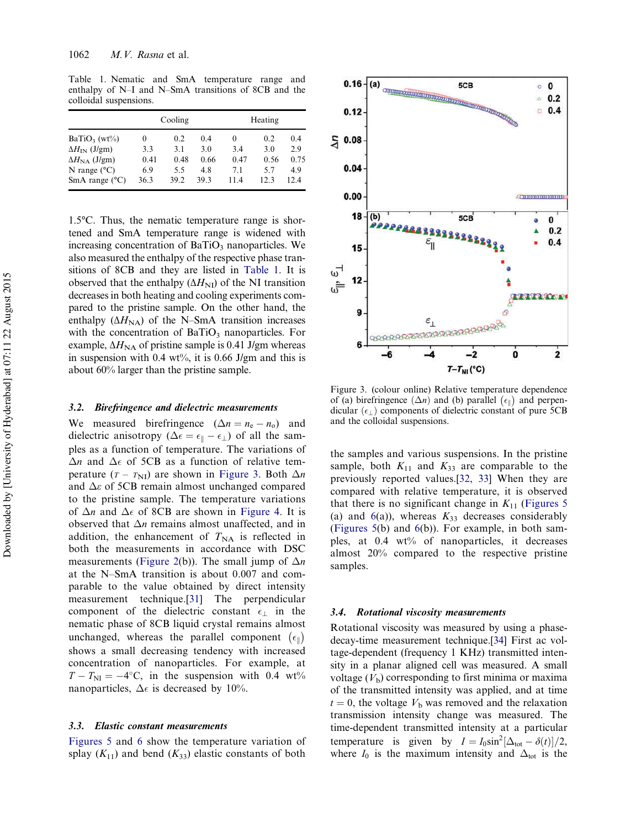<span id="page-4-0"></span>Table 1. Nematic and SmA temperature range and enthalpy of N–I and N–SmA transitions of 8CB and the colloidal suspensions.

|                               | Cooling |      |      | Heating |      |      |
|-------------------------------|---------|------|------|---------|------|------|
| $BaTiO3$ (wt%)                | $_{0}$  | 0.2  | 0.4  | $_{0}$  | 0.2  | 0.4  |
| $\Delta H_{\rm IN}$ (J/gm)    | 3.3     | 3.1  | 3.0  | 3.4     | 3.0  | 2.9  |
| $\Delta H_{\text{NA}}$ (J/gm) | 0.41    | 0.48 | 0.66 | 0.47    | 0.56 | 0.75 |
| N range $(^{\circ}C)$         | 6.9     | 55   | 4.8  | 71      | 57   | 4.9  |
| SmA range $(^{\circ}C)$       | 36.3    | 39.2 | 393  | 114     | 123  | 124  |

1.5°C. Thus, the nematic temperature range is shortened and SmA temperature range is widened with increasing concentration of  $BaTiO<sub>3</sub>$  nanoparticles. We also measured the enthalpy of the respective phase transitions of 8CB and they are listed in Table 1. It is observed that the enthalpy  $(\Delta H_{\text{NI}})$  of the NI transition decreases in both heating and cooling experiments compared to the pristine sample. On the other hand, the enthalpy ( $\Delta H_{\text{NA}}$ ) of the N–SmA transition increases with the concentration of  $BaTiO<sub>3</sub>$  nanoparticles. For example,  $\Delta H_{\text{NA}}$  of pristine sample is 0.41 J/gm whereas in suspension with 0.4 wt%, it is 0.66 J/gm and this is about 60% larger than the pristine sample.

#### 3.2. Birefringence and dielectric measurements

We measured birefringence  $(\Delta n = n_e - n_o)$  and dielectric anisotropy ( $\Delta \epsilon = \epsilon_{\parallel} - \epsilon_{\perp}$ ) of all the samples as a function of temperature. The variations of  $\Delta n$  and  $\Delta \epsilon$  of 5CB as a function of relative temperature  $(T - T_{\text{NI}})$  are shown in Figure 3. Both  $\Delta n$ and  $\Delta \varepsilon$  of 5CB remain almost unchanged compared to the pristine sample. The temperature variations of  $\Delta n$  and  $\Delta \epsilon$  of 8CB are shown in [Figure 4.](#page-5-0) It is observed that  $\Delta n$  remains almost unaffected, and in addition, the enhancement of  $T_{NA}$  is reflected in both the measurements in accordance with DSC measurements ([Figure 2](#page-3-0)(b)). The small jump of  $\Delta n$ at the N–SmA transition is about 0.007 and comparable to the value obtained by direct intensity measurement technique.[\[31](#page-8-0)] The perpendicular component of the dielectric constant  $\epsilon_{\perp}$  in the nematic phase of 8CB liquid crystal remains almost unchanged, whereas the parallel component  $\left(\epsilon_{\parallel}\right)$ shows a small decreasing tendency with increased concentration of nanoparticles. For example, at  $T - T_{\text{NI}} = -4$ °C, in the suspension with 0.4 wt% nanoparticles,  $\Delta \epsilon$  is decreased by 10%.

# 3.3. Elastic constant measurements

[Figures 5](#page-5-0) and [6](#page-6-0) show the temperature variation of splay  $(K_{11})$  and bend  $(K_{33})$  elastic constants of both



Figure 3. (colour online) Relative temperature dependence of (a) birefringence  $(\Delta n)$  and (b) parallel  $(\epsilon_{\parallel})$  and perpendicular  $(\epsilon_{\perp})$  components of dielectric constant of pure 5CB and the colloidal suspensions.

the samples and various suspensions. In the pristine sample, both  $K_{11}$  and  $K_{33}$  are comparable to the previously reported values.[\[32](#page-8-0), [33\]](#page-8-0) When they are compared with relative temperature, it is observed that there is no significant change in  $K_{11}$  ([Figures 5](#page-5-0)) (a) and  $6(a)$  $6(a)$ ), whereas  $K_{33}$  decreases considerably ([Figures 5](#page-5-0)(b) and [6\(](#page-6-0)b)). For example, in both samples, at 0.4 wt% of nanoparticles, it decreases almost 20% compared to the respective pristine samples.

#### 3.4. Rotational viscosity measurements

Rotational viscosity was measured by using a phasedecay-time measurement technique.[[34\]](#page-8-0) First ac voltage-dependent (frequency 1 KHz) transmitted intensity in a planar aligned cell was measured. A small voltage  $(V<sub>b</sub>)$  corresponding to first minima or maxima of the transmitted intensity was applied, and at time  $t = 0$ , the voltage  $V<sub>b</sub>$  was removed and the relaxation transmission intensity change was measured. The time-dependent transmitted intensity at a particular temperature is given by  $I = I_0 \sin^2[\Delta_{\text{tot}} - \delta(t)]/2$ , where  $I_0$  is the maximum intensity and  $\Delta_{\text{tot}}$  is the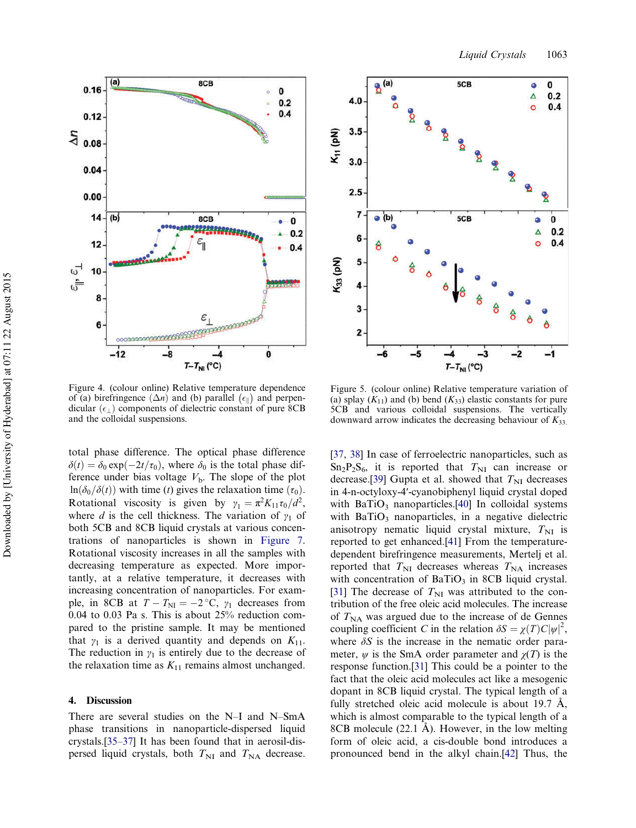<span id="page-5-0"></span>



Figure 4. (colour online) Relative temperature dependence of (a) birefringence  $(\Delta n)$  and (b) parallel  $(\epsilon_{\parallel})$  and perpendicular  $(\epsilon_1)$  components of dielectric constant of pure 8CB and the colloidal suspensions.

total phase difference. The optical phase difference  $\delta(t) = \delta_0 \exp(-2t/\tau_0)$ , where  $\delta_0$  is the total phase difference under bias voltage  $V<sub>b</sub>$ . The slope of the plot  $\ln(\delta_0/\delta(t))$  with time (t) gives the relaxation time  $(\tau_0)$ . Rotational viscosity is given by  $\gamma_1 = \pi^2 K_{11} \tau_0 / d^2$ , where d is the cell thickness. The variation of  $\gamma_1$  of both 5CB and 8CB liquid crystals at various concentrations of nanoparticles is shown in [Figure 7](#page-6-0). Rotational viscosity increases in all the samples with decreasing temperature as expected. More importantly, at a relative temperature, it decreases with increasing concentration of nanoparticles. For example, in 8CB at  $T - T_{\text{NI}} = -2 \degree C$ ,  $\gamma_1$  decreases from 0.04 to 0.03 Pa s. This is about 25% reduction compared to the pristine sample. It may be mentioned that  $\gamma_1$  is a derived quantity and depends on  $K_{11}$ . The reduction in  $y_1$  is entirely due to the decrease of the relaxation time as  $K_{11}$  remains almost unchanged.

# 4. Discussion

There are several studies on the N–I and N–SmA phase transitions in nanoparticle-dispersed liquid crystals.[[35](#page-8-0)–[37\]](#page-8-0) It has been found that in aerosil-dispersed liquid crystals, both  $T_{\text{NI}}$  and  $T_{\text{NA}}$  decrease.

Figure 5. (colour online) Relative temperature variation of (a) splay  $(K_{11})$  and (b) bend  $(K_{33})$  elastic constants for pure 5CB and various colloidal suspensions. The vertically downward arrow indicates the decreasing behaviour of  $K_{33}$ .

[\[37](#page-8-0), [38](#page-8-0)] In case of ferroelectric nanoparticles, such as  $Sn_2P_2S_6$ , it is reported that  $T_{NI}$  can increase or decrease.[\[39](#page-8-0)] Gupta et al. showed that  $T_{\text{NI}}$  decreases in 4-n-octyloxy-4ʹ-cyanobiphenyl liquid crystal doped with  $BaTiO<sub>3</sub>$  nanoparticles.[\[40](#page-9-0)] In colloidal systems with  $BaTiO<sub>3</sub>$  nanoparticles, in a negative dielectric anisotropy nematic liquid crystal mixture,  $T_{\text{NI}}$  is reported to get enhanced.[\[41](#page-9-0)] From the temperaturedependent birefringence measurements, Mertelj et al. reported that  $T_{\text{NI}}$  decreases whereas  $T_{\text{NA}}$  increases with concentration of  $BaTiO<sub>3</sub>$  in 8CB liquid crystal. [\[31](#page-8-0)] The decrease of  $T_{\text{NI}}$  was attributed to the contribution of the free oleic acid molecules. The increase of  $T_{NA}$  was argued due to the increase of de Gennes coupling coefficient C in the relation  $\delta S = \chi(T)C|\psi|^2$ , where  $\delta S$  is the increase in the nematic order parameter,  $\psi$  is the SmA order parameter and  $\chi(T)$  is the response function.[\[31](#page-8-0)] This could be a pointer to the fact that the oleic acid molecules act like a mesogenic dopant in 8CB liquid crystal. The typical length of a fully stretched oleic acid molecule is about 19.7 Å, which is almost comparable to the typical length of a 8CB molecule (22.1 Å). However, in the low melting form of oleic acid, a cis-double bond introduces a pronounced bend in the alkyl chain.[[42\]](#page-9-0) Thus, the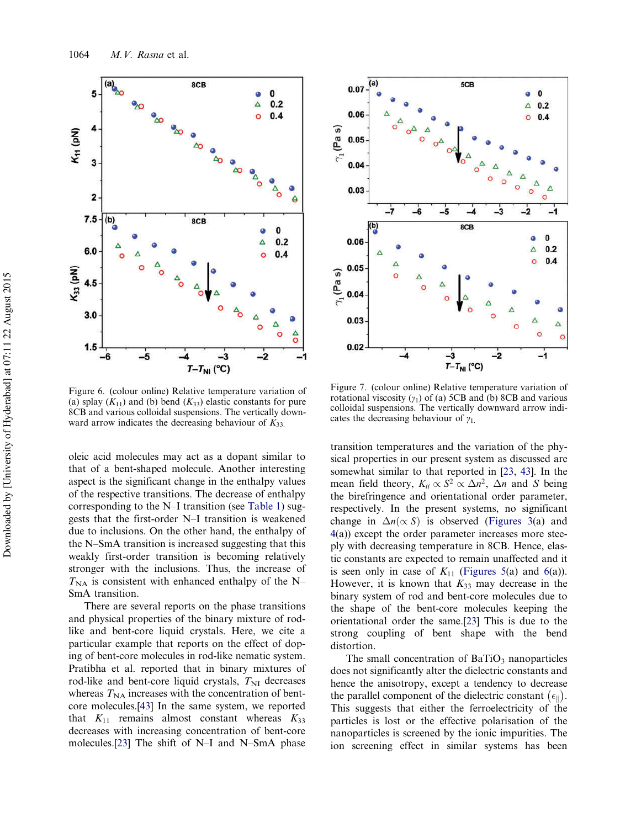<span id="page-6-0"></span>

Figure 6. (colour online) Relative temperature variation of (a) splay  $(K_{11})$  and (b) bend  $(K_{33})$  elastic constants for pure 8CB and various colloidal suspensions. The vertically downward arrow indicates the decreasing behaviour of  $K_{33}$ .

oleic acid molecules may act as a dopant similar to that of a bent-shaped molecule. Another interesting aspect is the significant change in the enthalpy values of the respective transitions. The decrease of enthalpy corresponding to the N–I transition (see [Table 1](#page-4-0)) suggests that the first-order N–I transition is weakened due to inclusions. On the other hand, the enthalpy of the N–SmA transition is increased suggesting that this weakly first-order transition is becoming relatively stronger with the inclusions. Thus, the increase of  $T_{\text{NA}}$  is consistent with enhanced enthalpy of the N– SmA transition.

There are several reports on the phase transitions and physical properties of the binary mixture of rodlike and bent-core liquid crystals. Here, we cite a particular example that reports on the effect of doping of bent-core molecules in rod-like nematic system. Pratibha et al. reported that in binary mixtures of rod-like and bent-core liquid crystals,  $T_{\text{NI}}$  decreases whereas  $T_{NA}$  increases with the concentration of bentcore molecules.[\[43](#page-9-0)] In the same system, we reported that  $K_{11}$  remains almost constant whereas  $K_{33}$ decreases with increasing concentration of bent-core molecules.[\[23](#page-8-0)] The shift of N–I and N–SmA phase



Figure 7. (colour online) Relative temperature variation of rotational viscosity  $(y_1)$  of (a) 5CB and (b) 8CB and various colloidal suspensions. The vertically downward arrow indicates the decreasing behaviour of  $\gamma_1$ .

transition temperatures and the variation of the physical properties in our present system as discussed are somewhat similar to that reported in [\[23](#page-8-0), [43\]](#page-9-0). In the mean field theory,  $K_{ii} \propto S^2 \propto \Delta n^2$ ,  $\Delta n$  and S being the birefringence and orientational order parameter, respectively. In the present systems, no significant change in  $\Delta n(\propto S)$  is observed [\(Figures 3\(](#page-4-0)a) and [4\(](#page-5-0)a)) except the order parameter increases more steeply with decreasing temperature in 8CB. Hence, elastic constants are expected to remain unaffected and it is seen only in case of  $K_{11}$  ([Figures 5](#page-5-0)(a) and 6(a)). However, it is known that  $K_{33}$  may decrease in the binary system of rod and bent-core molecules due to the shape of the bent-core molecules keeping the orientational order the same.[[23\]](#page-8-0) This is due to the strong coupling of bent shape with the bend distortion.

The small concentration of  $BaTiO<sub>3</sub>$  nanoparticles does not significantly alter the dielectric constants and hence the anisotropy, except a tendency to decrease the parallel component of the dielectric constant  $(\epsilon_{\parallel})$ . This suggests that either the ferroelectricity of the particles is lost or the effective polarisation of the nanoparticles is screened by the ionic impurities. The ion screening effect in similar systems has been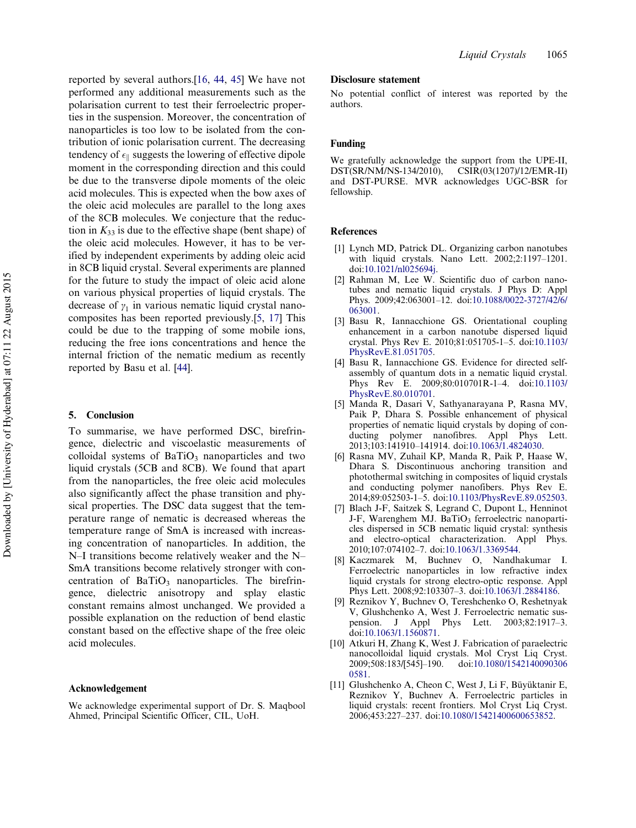<span id="page-7-0"></span>reported by several authors.[[16,](#page-8-0) [44,](#page-9-0) [45](#page-9-0)] We have not performed any additional measurements such as the polarisation current to test their ferroelectric properties in the suspension. Moreover, the concentration of nanoparticles is too low to be isolated from the contribution of ionic polarisation current. The decreasing tendency of  $\epsilon_{\parallel}$  suggests the lowering of effective dipole moment in the corresponding direction and this could be due to the transverse dipole moments of the oleic acid molecules. This is expected when the bow axes of the oleic acid molecules are parallel to the long axes of the 8CB molecules. We conjecture that the reduction in  $K_{33}$  is due to the effective shape (bent shape) of the oleic acid molecules. However, it has to be verified by independent experiments by adding oleic acid in 8CB liquid crystal. Several experiments are planned for the future to study the impact of oleic acid alone on various physical properties of liquid crystals. The decrease of  $\gamma_1$  in various nematic liquid crystal nanocomposites has been reported previously.[5, [17\]](#page-8-0) This could be due to the trapping of some mobile ions, reducing the free ions concentrations and hence the internal friction of the nematic medium as recently reported by Basu et al. [[44\]](#page-9-0).

# 5. Conclusion

To summarise, we have performed DSC, birefringence, dielectric and viscoelastic measurements of colloidal systems of  $BaTiO<sub>3</sub>$  nanoparticles and two liquid crystals (5CB and 8CB). We found that apart from the nanoparticles, the free oleic acid molecules also significantly affect the phase transition and physical properties. The DSC data suggest that the temperature range of nematic is decreased whereas the temperature range of SmA is increased with increasing concentration of nanoparticles. In addition, the N–I transitions become relatively weaker and the N– SmA transitions become relatively stronger with concentration of  $BaTiO<sub>3</sub>$  nanoparticles. The birefringence, dielectric anisotropy and splay elastic constant remains almost unchanged. We provided a possible explanation on the reduction of bend elastic constant based on the effective shape of the free oleic acid molecules.

#### Acknowledgement

We acknowledge experimental support of Dr. S. Maqbool Ahmed, Principal Scientific Officer, CIL, UoH.

# Disclosure statement

No potential conflict of interest was reported by the authors.

#### Funding

We gratefully acknowledge the support from the UPE-II,<br>DST(SR/NM/NS-134/2010), CSIR(03(1207)/12/EMR-II) DST(SR/NM/NS-134/2010), and DST-PURSE. MVR acknowledges UGC-BSR for fellowship.

#### **References**

- [1] Lynch MD, Patrick DL. Organizing carbon nanotubes with liquid crystals. Nano Lett. 2002;2:1197–1201. doi:[10.1021/nl025694j.](http://dx.doi.org/10.1021/nl025694j)
- [2] Rahman M, Lee W. Scientific duo of carbon nanotubes and nematic liquid crystals. J Phys D: Appl Phys. 2009;42:063001–12. doi:[10.1088/0022-3727/42/6/](http://dx.doi.org/10.1088/0022-3727/42/6/063001) [063001.](http://dx.doi.org/10.1088/0022-3727/42/6/063001)
- [3] Basu R, Iannacchione GS. Orientational coupling enhancement in a carbon nanotube dispersed liquid crystal. Phys Rev E. 2010;81:051705-1–5. doi:[10.1103/](http://dx.doi.org/10.1103/PhysRevE.81.051705) [PhysRevE.81.051705.](http://dx.doi.org/10.1103/PhysRevE.81.051705)
- [4] Basu R, Iannacchione GS. Evidence for directed selfassembly of quantum dots in a nematic liquid crystal. Phys Rev E. 2009;80:010701R-1–4. doi:[10.1103/](http://dx.doi.org/10.1103/PhysRevE.80.010701) [PhysRevE.80.010701.](http://dx.doi.org/10.1103/PhysRevE.80.010701)
- [5] Manda R, Dasari V, Sathyanarayana P, Rasna MV, Paik P, Dhara S. Possible enhancement of physical properties of nematic liquid crystals by doping of conducting polymer nanofibres. Appl Phys Lett. 2013;103:141910–141914. doi:[10.1063/1.4824030](http://dx.doi.org/10.1063/1.4824030).
- [6] Rasna MV, Zuhail KP, Manda R, Paik P, Haase W, Dhara S. Discontinuous anchoring transition and photothermal switching in composites of liquid crystals and conducting polymer nanofibers. Phys Rev E. 2014;89:052503-1–5. doi:[10.1103/PhysRevE.89.052503](http://dx.doi.org/10.1103/PhysRevE.89.052503).
- [7] Blach J-F, Saitzek S, Legrand C, Dupont L, Henninot J-F, Warenghem MJ. BaTiO<sub>3</sub> ferroelectric nanoparticles dispersed in 5CB nematic liquid crystal: synthesis and electro-optical characterization. Appl Phys. 2010;107:074102–7. doi:[10.1063/1.3369544.](http://dx.doi.org/10.1063/1.3369544)
- [8] Kaczmarek M, Buchnev O, Nandhakumar I. Ferroelectric nanoparticles in low refractive index liquid crystals for strong electro-optic response. Appl Phys Lett. 2008;92:103307–3. doi:[10.1063/1.2884186](http://dx.doi.org/10.1063/1.2884186).
- [9] Reznikov Y, Buchnev O, Tereshchenko O, Reshetnyak V, Glushchenko A, West J. Ferroelectric nematic suspension. J Appl Phys Lett. 2003;82:1917–3. doi:[10.1063/1.1560871](http://dx.doi.org/10.1063/1.1560871).
- [10] Atkuri H, Zhang K, West J. Fabrication of paraelectric nanocolloidal liquid crystals. Mol Cryst Liq Cryst. 2009;508:183/[545]–190. doi:[10.1080/1542140090306](http://dx.doi.org/10.1080/15421400903060581) [0581.](http://dx.doi.org/10.1080/15421400903060581)
- [11] Glushchenko A, Cheon C, West J, Li F, Büyüktanir E, Reznikov Y, Buchnev A. Ferroelectric particles in liquid crystals: recent frontiers. Mol Cryst Liq Cryst. 2006;453:227–237. doi:[10.1080/15421400600653852](http://dx.doi.org/10.1080/15421400600653852).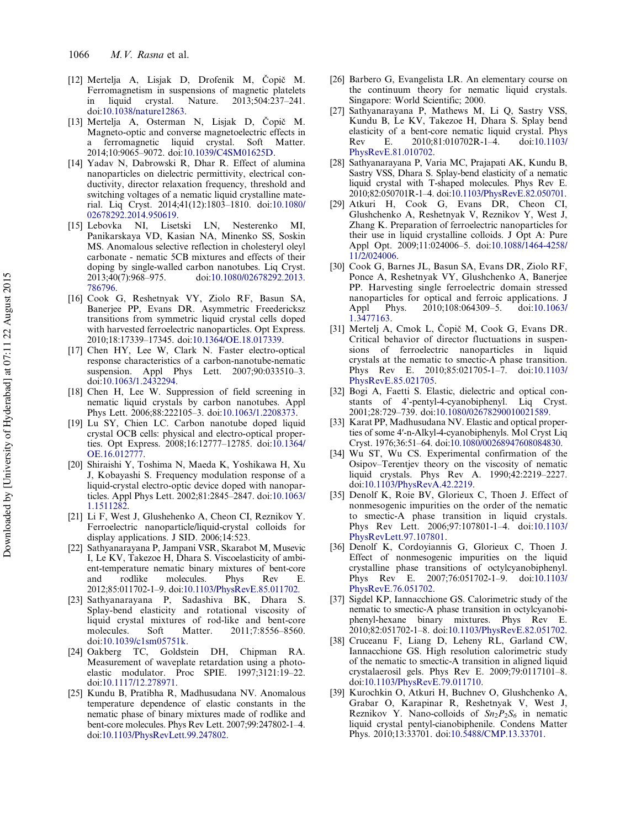- <span id="page-8-0"></span>[12] Mertelja A, Lisjak D, Drofenik M, Čopič M. Ferromagnetism in suspensions of magnetic platelets in liquid crystal. Nature. 2013;504:237–241. doi:[10.1038/nature12863.](http://dx.doi.org/10.1038/nature12863)
- [13] Mertelja A, Osterman N, Lisjak D, Čopič M. Magneto-optic and converse magnetoelectric effects in a ferromagnetic liquid crystal. Soft Matter. 2014;10:9065–9072. doi:[10.1039/C4SM01625D.](http://dx.doi.org/10.1039/C4SM01625D)
- [14] Yadav N, Dabrowski R, Dhar R. Effect of alumina nanoparticles on dielectric permittivity, electrical conductivity, director relaxation frequency, threshold and switching voltages of a nematic liquid crystalline material. Liq Cryst. 2014;41(12):1803–1810. doi:[10.1080/](http://dx.doi.org/10.1080/02678292.2014.950619) [02678292.2014.950619](http://dx.doi.org/10.1080/02678292.2014.950619).
- [15] Lebovka NI, Lisetski LN, Nesterenko MI, Panikarskaya VD, Kasian NA, Minenko SS, Soskin MS. Anomalous selective reflection in cholesteryl oleyl carbonate - nematic 5CB mixtures and effects of their doping by single-walled carbon nanotubes. Liq Cryst. 2013;40(7):968–975. doi:[10.1080/02678292.2013.](http://dx.doi.org/10.1080/02678292.2013.786796) [786796](http://dx.doi.org/10.1080/02678292.2013.786796).
- [16] Cook G, Reshetnyak VY, Ziolo RF, Basun SA, Banerjee PP, Evans DR. Asymmetric Freedericksz transitions from symmetric liquid crystal cells doped with harvested ferroelectric nanoparticles. Opt Express. 2010;18:17339–17345. doi:[10.1364/OE.18.017339.](http://dx.doi.org/10.1364/OE.18.017339)
- [17] Chen HY, Lee W, Clark N. Faster electro-optical response characteristics of a carbon-nanotube-nematic suspension. Appl Phys Lett. 2007;90:033510–3. doi:[10.1063/1.2432294](http://dx.doi.org/10.1063/1.2432294).
- [18] Chen H, Lee W. Suppression of field screening in nematic liquid crystals by carbon nanotubes. Appl Phys Lett. 2006;88:222105–3. doi:[10.1063/1.2208373](http://dx.doi.org/10.1063/1.2208373).
- [19] Lu SY, Chien LC. Carbon nanotube doped liquid crystal OCB cells: physical and electro-optical properties. Opt Express. 2008;16:12777–12785. doi:[10.1364/](http://dx.doi.org/10.1364/OE.16.012777) [OE.16.012777](http://dx.doi.org/10.1364/OE.16.012777).
- [20] Shiraishi Y, Toshima N, Maeda K, Yoshikawa H, Xu J, Kobayashi S. Frequency modulation response of a liquid-crystal electro-optic device doped with nanoparticles. Appl Phys Lett. 2002;81:2845–2847. doi:[10.1063/](http://dx.doi.org/10.1063/1.1511282) [1.1511282.](http://dx.doi.org/10.1063/1.1511282)
- [21] Li F, West J, Glushehenko A, Cheon CI, Reznikov Y. Ferroelectric nanoparticle/liquid-crystal colloids for display applications. J SID. 2006;14:523.
- [22] Sathyanarayana P, Jampani VSR, Skarabot M, Musevic I, Le KV, Takezoe H, Dhara S. Viscoelasticity of ambient-temperature nematic binary mixtures of bent-core and rodlike molecules. Phys Rev E. 2012;85:011702-1–9. doi:[10.1103/PhysRevE.85.011702](http://dx.doi.org/10.1103/PhysRevE.85.011702).
- [23] Sathyanarayana P, Sadashiva BK, Dhara S. Splay-bend elasticity and rotational viscosity of liquid crystal mixtures of rod-like and bent-core molecules. Soft Matter. 2011;7:8556–8560. doi:[10.1039/c1sm05751k](http://dx.doi.org/10.1039/c1sm05751k).
- [24] Oakberg TC, Goldstein DH, Chipman RA. Measurement of waveplate retardation using a photoelastic modulator. Proc SPIE. 1997;3121:19–22. doi:[10.1117/12.278971](http://dx.doi.org/10.1117/12.278971).
- [25] Kundu B, Pratibha R, Madhusudana NV. Anomalous temperature dependence of elastic constants in the nematic phase of binary mixtures made of rodlike and bent-core molecules. Phys Rev Lett. 2007;99:247802-1–4. doi:[10.1103/PhysRevLett.99.247802.](http://dx.doi.org/10.1103/PhysRevLett.99.247802)
- [26] Barbero G, Evangelista LR. An elementary course on the continuum theory for nematic liquid crystals. Singapore: World Scientific; 2000.
- [27] Sathyanarayana P, Mathews M, Li Q, Sastry VSS, Kundu B, Le KV, Takezoe H, Dhara S. Splay bend elasticity of a bent-core nematic liquid crystal. Phys Rev E. 2010;81:010702R-1–4. doi:[10.1103/](http://dx.doi.org/10.1103/PhysRevE.81.010702) [PhysRevE.81.010702.](http://dx.doi.org/10.1103/PhysRevE.81.010702)
- [28] Sathyanarayana P, Varia MC, Prajapati AK, Kundu B, Sastry VSS, Dhara S. Splay-bend elasticity of a nematic liquid crystal with T-shaped molecules. Phys Rev E. 2010;82:050701R-1–4. doi:[10.1103/PhysRevE.82.050701.](http://dx.doi.org/10.1103/PhysRevE.82.050701)
- [29] Atkuri H, Cook G, Evans DR, Cheon CI, Glushchenko A, Reshetnyak V, Reznikov Y, West J, Zhang K. Preparation of ferroelectric nanoparticles for their use in liquid crystalline colloids. J Opt A: Pure Appl Opt. 2009;11:024006–5. doi:[10.1088/1464-4258/](http://dx.doi.org/10.1088/1464-4258/11/2/024006) [11/2/024006.](http://dx.doi.org/10.1088/1464-4258/11/2/024006)
- [30] Cook G, Barnes JL, Basun SA, Evans DR, Ziolo RF, Ponce A, Reshetnyak VY, Glushchenko A, Banerjee PP. Harvesting single ferroelectric domain stressed nanoparticles for optical and ferroic applications. J Appl Phys. 2010;108:064309–5. doi:[10.1063/](http://dx.doi.org/10.1063/1.3477163) [1.3477163.](http://dx.doi.org/10.1063/1.3477163)
- [31] Mertelj A, Cmok L, Čopič M, Cook G, Evans DR. Critical behavior of director fluctuations in suspensions of ferroelectric nanoparticles in liquid crystals at the nematic to smectic-A phase transition. Phys Rev E. 2010;85:021705-1–7. doi:[10.1103/](http://dx.doi.org/10.1103/PhysRevE.85.021705) [PhysRevE.85.021705](http://dx.doi.org/10.1103/PhysRevE.85.021705).
- [32] Bogi A, Faetti S. Elastic, dielectric and optical constants of 4'-pentyl-4-cyanobiphenyl. Liq Cryst. 2001;28:729–739. doi:[10.1080/02678290010021589.](http://dx.doi.org/10.1080/02678290010021589)
- [33] Karat PP, Madhusudana NV. Elastic and optical properties of some 4′-n-Alkyl-4-cyanobiphenyls. Mol Cryst Liq Cryst. 1976;36:51–64. doi:[10.1080/00268947608084830](http://dx.doi.org/10.1080/00268947608084830).
- [34] Wu ST, Wu CS. Experimental confirmation of the Osipov–Terentjev theory on the viscosity of nematic liquid crystals. Phys Rev A. 1990;42:2219–2227. doi:[10.1103/PhysRevA.42.2219.](http://dx.doi.org/10.1103/PhysRevA.42.2219)
- [35] Denolf K, Roie BV, Glorieux C, Thoen J. Effect of nonmesogenic impurities on the order of the nematic to smectic-A phase transition in liquid crystals. Phys Rev Lett. 2006;97:107801-1–4. doi:[10.1103/](http://dx.doi.org/10.1103/PhysRevLett.97.107801) [PhysRevLett.97.107801](http://dx.doi.org/10.1103/PhysRevLett.97.107801).
- [36] Denolf K, Cordoyiannis G, Glorieux C, Thoen J. Effect of nonmesogenic impurities on the liquid crystalline phase transitions of octylcyanobiphenyl. Phys Rev E. 2007;76:051702-1–9. doi:[10.1103/](http://dx.doi.org/10.1103/PhysRevE.76.051702) [PhysRevE.76.051702.](http://dx.doi.org/10.1103/PhysRevE.76.051702)
- [37] Sigdel KP, Iannacchione GS. Calorimetric study of the nematic to smectic-A phase transition in octylcyanobiphenyl-hexane binary mixtures. Phys Rev E. 2010;82:051702-1–8. doi:[10.1103/PhysRevE.82.051702](http://dx.doi.org/10.1103/PhysRevE.82.051702).
- [38] Cruceanu F, Liang D, Leheny RL, Garland CW, Iannacchione GS. High resolution calorimetric study of the nematic to smectic-A transition in aligned liquid crystalaerosil gels. Phys Rev E. 2009;79:0117101–8. doi:[10.1103/PhysRevE.79.011710.](http://dx.doi.org/10.1103/PhysRevE.79.011710)
- [39] Kurochkin O, Atkuri H, Buchnev O, Glushchenko A, Grabar O, Karapinar R, Reshetnyak V, West J, Reznikov Y. Nano-colloids of  $Sn<sub>2</sub>P<sub>2</sub>S<sub>6</sub>$  in nematic liquid crystal pentyl-cianobiphenile. Condens Matter Phys. 2010;13:33701. doi:[10.5488/CMP.13.33701.](http://dx.doi.org/10.5488/CMP.13.33701)